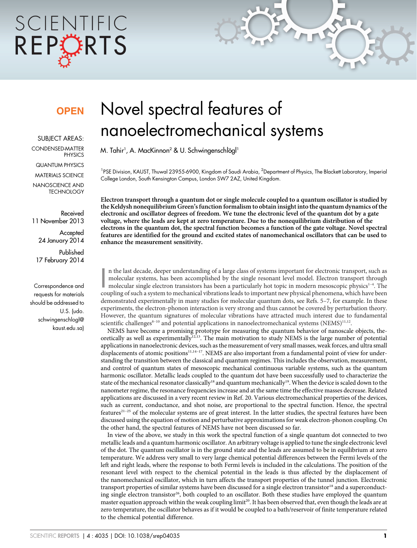# SCIENTIFIC REPORTS

### **OPFN**

SUBJECT AREAS: CONDENSED-MATTER PHYSICS QUANTUM PHYSICS MATERIALS SCIENCE NANOSCIENCE AND **TECHNOLOGY** 

Received 11 November 2013

**Accepted** 24 January 2014 Published 17 February 2014

Correspondence and requests for materials should be addressed to U.S. (udo. schwingenschlogl@ kaust.edu.sa)

## Novel spectral features of nanoelectromechanical systems

M. Tahir<sup>1</sup>, A. MacKinnon<sup>2</sup> & U. Schwingenschlögl<sup>1</sup>

<sup>1</sup>PSE Division, KAUST, Thuwal 23955-6900, Kingdom of Saudi Arabia, <sup>2</sup>Department of Physics, The Blackett Laboratory, Imperial College London, South Kensington Campus, London SW7 2AZ, United Kingdom.

Electron transport through a quantum dot or single molecule coupled to a quantum oscillator is studied by the Keldysh nonequilibrium Green's function formalism to obtain insight into the quantum dynamics of the electronic and oscillator degrees of freedom. We tune the electronic level of the quantum dot by a gate voltage, where the leads are kept at zero temperature. Due to the nonequilibrium distribution of the electrons in the quantum dot, the spectral function becomes a function of the gate voltage. Novel spectral features are identified for the ground and excited states of nanomechanical oscillators that can be used to enhance the measurement sensitivity.

In the last decade, deeper understanding of a large class of systems important for electronic transport, such as<br>molecular systems, has been accomplished by the single resonant level model. Electron transport through<br>molec n the last decade, deeper understanding of a large class of systems important for electronic transport, such as molecular systems, has been accomplished by the single resonant level model. Electron transport through molecular single electron transistors has been a particularly hot topic in modern mesoscopic physics<sup>1-4</sup>. The demonstrated experimentally in many studies for molecular quantum dots, see Refs. 5–7, for example. In these experiments, the electron-phonon interaction is very strong and thus cannot be covered by perturbation theory. However, the quantum signatures of molecular vibrations have attracted much interest due to fundamental scientific challenges<sup>8-10</sup> and potential applications in nanoelectromechanical systems  $(NEMS)^{11,12}$ .

NEMS have become a promising prototype for measuring the quantum behavior of nanoscale objects, theoretically as well as experimentally<sup>12,13</sup>. The main motivation to study NEMS is the large number of potential applications in nanoelectronic devices, such as the measurement of very small masses, weak forces, and ultra small displacements of atomic positions<sup>11,14–17</sup>. NEMS are also important from a fundamental point of view for understanding the transition between the classical and quantum regimes. This includes the observation, measurement, and control of quantum states of mesoscopic mechanical continuous variable systems, such as the quantum harmonic oscillator. Metallic leads coupled to the quantum dot have been successfully used to characterize the state of the mechanical resonator classically<sup>18</sup> and quantum mechanically<sup>19</sup>. When the device is scaled down to the nanometer regime, the resonance frequencies increase and at the same time the effective masses decrease. Related applications are discussed in a very recent review in Ref. 20. Various electromechanical properties of the devices, such as current, conductance, and shot noise, are proportional to the spectral function. Hence, the spectral features<sup>21–25</sup> of the molecular systems are of great interest. In the latter studies, the spectral features have been discussed using the equation of motion and perturbative approximations for weak electron-phonon coupling. On the other hand, the spectral features of NEMS have not been discussed so far.

In view of the above, we study in this work the spectral function of a single quantum dot connected to two metallic leads and a quantum harmonic oscillator. An arbitrary voltage is applied to tune the single electronic level of the dot. The quantum oscillator is in the ground state and the leads are assumed to be in equilibrium at zero temperature. We address very small to very large chemical potential differences between the Fermi levels of the left and right leads, where the response to both Fermi levels is included in the calculations. The position of the resonant level with respect to the chemical potential in the leads is thus affected by the displacement of the nanomechanical oscillator, which in turn affects the transport properties of the tunnel junction. Electronic transport properties of similar systems have been discussed for a single electron transistor<sup>18</sup> and a superconducting single electron transistor<sup>26</sup>, both coupled to an oscillator. Both these studies have employed the quantum master equation approach within the weak coupling limit<sup>20</sup>. It has been observed that, even though the leads are at zero temperature, the oscillator behaves as if it would be coupled to a bath/reservoir of finite temperature related to the chemical potential difference.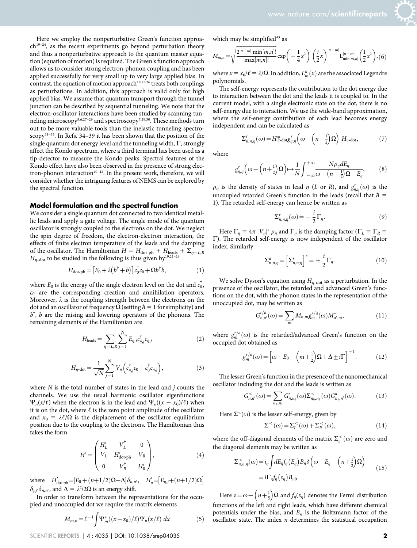Here we employ the nonperturbative Green's function approa $ch<sup>19-24</sup>$ , as the recent experiments go beyond perturbation theory and thus a nonperturbative approach to the quantum master equation (equation of motion) is required. The Green's function approach allows us to consider strong electron-phonon coupling and has been applied successfully for very small up to very large applied bias. In contrast, the equation of motion approach<sup>18,25,26</sup> treats both couplings as perturbations. In addition, this approach is valid only for high applied bias. We assume that quantum transport through the tunnel junction can be described by sequential tunneling. We note that the electron-oscillator interactions have been studied by scanning tunneling microscopy<sup>5,6,27-29</sup> and spectroscopy<sup>7,29,30</sup>. These methods turn out to be more valuable tools than the inelastic tunneling spectroscopy<sup>31–33</sup>. In Refs. 34–39 it has been shown that the position of the single quantum dot energy level and the tunneling width,  $\Gamma$ , strongly affect the Kondo spectrum, where a third terminal has been used as a tip detector to measure the Kondo peaks. Spectral features of the Kondo effect have also been observed in the presence of strong electron-phonon interaction<sup>40–42</sup>. In the present work, therefore, we will consider whether the intriguing features of NEMS can be explored by the spectral function.

#### Model formulation and the spectral function

We consider a single quantum dot connected to two identical metallic leads and apply a gate voltage. The single mode of the quantum oscillator is strongly coupled to the electrons on the dot. We neglect the spin degree of freedom, the electron-electron interaction, the effects of finite electron temperature of the leads and the damping of the oscillator. The Hamiltonian  $H = H_{dot-ph} + H_{leads} + \Sigma_{\eta=L,R}$  $H_{\eta\text{-dot}}$  to be studied in the following is thus given by<sup>19,21–24</sup>

$$
H_{\text{dot-ph}} = [E_0 + \lambda (b^{\dagger} + b)] c_0^{\dagger} c_0 + \Omega b^{\dagger} b, \qquad (1)
$$

where  $E_0$  is the energy of the single electron level on the dot and  $c_0^{\dagger}$ ,  $c_0$  are the corresponding creation and annihilation operators. Moreover,  $\lambda$  is the coupling strength between the electrons on the dot and an oscillator of frequency  $\Omega$  (setting  $\hbar = 1$  for simplicity) and  $b^{\dagger}$ ,  $b$  are the raising and lowering operators of the phonons. The remaining elements of the Hamiltonian are

$$
H_{\text{leads}} = \sum_{\eta = L, R} \sum_{j=1}^{N} E_{\eta, j} c_{\eta, j}^{\dagger} c_{\eta, j} \tag{2}
$$

$$
H_{\eta \text{-dot}} = \frac{1}{\sqrt{N}} \sum_{j=1}^{N} V_{\eta} \left( c_{\eta,j}^{\dagger} c_0 + c_0^{\dagger} c_{\eta,j} \right), \tag{3}
$$

where  $N$  is the total number of states in the lead and  $j$  counts the channels. We use the usual harmonic oscillator eigenfunctions  $\Psi_n(x/\ell)$  when the electron is in the lead and  $\Psi_n((x-x_0)/\ell)$  when it is on the dot, where  $\ell$  is the zero point amplitude of the oscillator and  $x_0 = \lambda \ell/\Omega$  is the displacement of the oscillator equilibrium position due to the coupling to the electrons. The Hamiltonian thus takes the form

$$
H' = \begin{pmatrix} H'_{L} & V_{L}^{\dagger} & 0 \\ V_{L} & H'_{\text{dot-ph}} & V_{R} \\ 0 & V_{R}^{\dagger} & H'_{R} \end{pmatrix},
$$
 (4)

where  $H'_{\text{dot-ph}} = [E_0 + (n+1/2)\Omega - \Delta] \delta_{n,n'}, \quad H'_\eta = [E_{\eta,j} + (n+1/2)\Omega]$  $\delta_{j,j'}\delta_{n,n'}$ , and  $\Delta = \lambda^2/2\Omega$  is an energy shift.

In order to transform between the representations for the occupied and unoccupied dot we require the matrix elements

$$
M_{m,n} = \ell^{-1} \int \Psi_m^*((x - x_0)/\ell) \Psi_n(x/\ell) \, dx \tag{5}
$$

$$
M_{m,n} = \sqrt{\frac{2^{|n-m|} \min[m,n]!}{\max[m,n]!}} \exp\left(-\frac{1}{4}x^2\right) \left(\frac{i}{2}x\right)^{|n-m|} L_{\min[m,n]}^{|n-m|} \left(\frac{1}{2}x^2\right), (6)
$$

where  $x = x_0/\ell = \lambda/\Omega$ . In addition,  $L_m^n(x)$  are the associated Legendre polynomials.

The self-energy represents the contribution to the dot energy due to interaction between the dot and the leads it is coupled to. In the current model, with a single electronic state on the dot, there is no self-energy due to interaction. We use the wide-band approximation, where the self-energy contribution of each lead becomes energy independent and can be calculated as

$$
\Sigma_{n,n,\eta}^r(\omega) = H_{\eta-\text{dot}}^*\mathcal{S}_{\eta,\eta}^r\left(\omega - \left(n + \frac{1}{2}\right)\Omega\right) H_{\eta-\text{dot}},\tag{7}
$$

where

$$
g_{\eta,\eta}^r\left(\omega-\left(n+\frac{1}{2}\right)\Omega\right)\mapsto\frac{1}{N}\int_{-\infty}^{+\infty}\frac{N\rho_\eta dE_\eta}{\omega-\left(n+\frac{1}{2}\right)\Omega-E_\eta},\qquad(8)
$$

 $\rho_{\eta}$  is the density of states in lead  $\eta$  (L or R), and  $g_{\eta,\eta}^r(\omega)$  is the uncoupled retarded Green's function in the leads (recall that  $\hbar =$ 1). The retarded self-energy can hence be written as

$$
\Sigma_{n,n,\eta}^r(\omega) = -\frac{i}{2} \Gamma_\eta. \tag{9}
$$

Here  $\Gamma_{\eta} = 4\pi |V_{\eta}|^2 \rho_{\eta}$  and  $\Gamma_{\eta}$  is the damping factor ( $\Gamma_{L} = \Gamma_{R} =$  $\Gamma$ ). The retarded self-energy is now independent of the oscillator index. Similarly

$$
\Sigma_{n,n,\eta}^a = \left[\Sigma_{n,n,\eta}^r\right]^* = +\frac{i}{2}\Gamma_\eta. \tag{10}
$$

We solve Dyson's equation using  $H_{\eta\text{-dot}}$  as a perturbation. In the presence of the oscillator, the retarded and advanced Green's functions on the dot, with the phonon states in the representation of the unoccupied dot, may be written as

$$
G_{n,n'}^{r/a}(\omega) = \sum_{m} M_{n,m} g_m^{r/a}(\omega) M_{n',m}^*,
$$
 (11)

where  $g_{m}^{r/a}(\omega)$  is the retarded/advanced Green's function on the occupied dot obtained as

$$
g_m^{r/a}(\omega) = \left[\omega - E_0 - \left(m + \frac{1}{2}\right)\Omega + \Delta \pm i\Gamma\right]^{-1}.\tag{12}
$$

The lesser Green's function in the presence of the nanomechanical oscillator including the dot and the leads is written as

$$
G_{n,n'}^{<}(\omega) = \sum_{n_0,n_1} G_{n,n_0}^{r}(\omega) \Sigma_{n_0,n_1}^{<}(\omega) G_{n_1,n'}^{a}(\omega).
$$
 (13)

Here  $\Sigma^<(\omega)$  is the lesser self-energy, given by

$$
\Sigma^{<}(\omega) = \Sigma_{L}^{<}(\omega) + \Sigma_{R}^{<}(\omega), \tag{14}
$$

where the off-diagonal elements of the matrix  $\Sigma^{\lt}_{\eta}(\omega)$  are zero and the diagonal elements may be written as

$$
\Sigma_{n,n,\eta}^{<}(\omega) = i_{\eta} \int dE_{n} f_{\eta} (E_{\eta}) B_{n} \delta \left(\omega - E_{\eta} - \left(n + \frac{1}{2}\right) \Omega\right)
$$
  
=  $i \Gamma_{n} f_{\eta} (e_{\eta}) B_{n0}.$  (15)

Here  $\varepsilon = \omega - \left( n + \frac{1}{2} \right) \Omega$  and  $f_{\eta}(\varepsilon_{\eta})$  denotes the Fermi distribution functions of the left and right leads, which have different chemical potentials under the bias, and  $B_n$  is the Boltzmann factor of the oscillator state. The index  $n$  determines the statistical occupation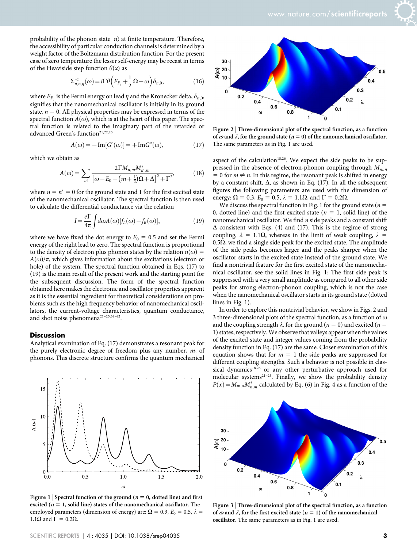probability of the phonon state  $|n\rangle$  at finite temperature. Therefore, the accessibility of particular conduction channels is determined by a weight factor of the Boltzmann distribution function. For the present case of zero temperature the lesser self-energy may be recast in terms of the Heaviside step function  $\theta(x)$  as

$$
\Sigma_{n,n,\eta}^{\lt}(\omega) = i \Gamma \theta \left( E_{F_{\eta}} + \frac{1}{2} \Omega - \omega \right) \delta_{n,0},\tag{16}
$$

where  $E_{F_n}$  is the Fermi energy on lead  $\eta$  and the Kronecker delta,  $\delta_{n,0}$ , signifies that the nanomechanical oscillator is initially in its ground state,  $n = 0$ . All physical properties may be expressed in terms of the spectral function  $A(\omega)$ , which is at the heart of this paper. The spectral function is related to the imaginary part of the retarded or advanced Green's function<sup>21,22,25</sup>

$$
A(\omega) = -\operatorname{Im}[G'(\omega)] = +\operatorname{Im}G^{a}(\omega),\tag{17}
$$

which we obtain as

$$
A(\omega) = \sum_{m} \frac{2\Gamma M_{n,m} M_{n',m}^*}{\left[\omega - E_0 - \left(m + \frac{1}{2}\right)\Omega + \Delta\right]^2 + \Gamma^2},\tag{18}
$$

where  $n = n' = 0$  for the ground state and 1 for the first excited state of the nanomechanical oscillator. The spectral function is then used to calculate the differential conductance via the relation

$$
I = \frac{e\Gamma}{4\pi} \int d\omega A(\omega) [f_L(\omega) - f_R(\omega)], \qquad (19)
$$

where we have fixed the dot energy to  $E_0 = 0.5$  and set the Fermi energy of the right lead to zero. The spectral function is proportional to the density of electron plus phonon states by the relation  $n(\omega)$  =  $A(\omega)/\pi$ , which gives information about the excitations (electron or hole) of the system. The spectral function obtained in Eqs. (17) to (19) is the main result of the present work and the starting point for the subsequent discussion. The form of the spectral function obtained here makes the electronic and oscillator properties apparent as it is the essential ingredient for theoretical considerations on problems such as the high frequency behavior of nanomechanical oscillators, the current-voltage characteristics, quantum conductance, and shot noise phenomena<sup>21-25,34-42</sup>.

#### **Discussion**

Analytical examination of Eq. (17) demonstrates a resonant peak for the purely electronic degree of freedom plus any number, m, of phonons. This discrete structure confirms the quantum mechanical



Figure 1 | Spectral function of the ground ( $n = 0$ , dotted line) and first excited ( $n = 1$ , solid line) states of the nanomechanical oscillator. The employed parameters (dimension of energy) are:  $\Omega = 0.3$ ,  $E_0 = 0.5$ ,  $\lambda =$ 1.1 $\Omega$  and  $\Gamma = 0.2\Omega$ .



Figure 2 | Three-dimensional plot of the spectral function, as a function of  $\omega$  and  $\lambda$ , for the ground state ( $n = 0$ ) of the nanomechanical oscillator. The same parameters as in Fig. 1 are used.

aspect of the calculation<sup>18,26</sup>. We expect the side peaks to be suppressed in the absence of electron-phonon coupling through  $M_{m,n}$  $= 0$  for  $m \neq n$ . In this regime, the resonant peak is shifted in energy by a constant shift,  $\Delta$ , as shown in Eq. (17). In all the subsequent figures the following parameters are used with the dimension of energy:  $\Omega = 0.3$ ,  $E_0 = 0.5$ ,  $\lambda = 1.1\Omega$ , and  $\Gamma = 0.2\Omega$ .

We discuss the spectral function in Fig. 1 for the ground state ( $n =$ 0, dotted line) and the first excited state ( $n = 1$ , solid line) of the nanomechanical oscillator. We find  $n$  side peaks and a constant shift  $\Delta$  consistent with Eqs. (4) and (17). This is the regime of strong coupling,  $\lambda = 1.1\Omega$ , whereas in the limit of weak coupling,  $\lambda =$  $0.5\Omega$ , we find a single side peak for the excited state. The amplitude of the side peaks becomes larger and the peaks sharper when the oscillator starts in the excited state instead of the ground state. We find a nontrivial feature for the first excited state of the nanomechanical oscillator, see the solid lines in Fig. 1: The first side peak is suppressed with a very small amplitude as compared to all other side peaks for strong electron-phonon coupling, which is not the case when the nanomechanical oscillator starts in its ground state (dotted lines in Fig. 1).

In order to explore this nontrivial behavior, we show in Figs. 2 and 3 three-dimensional plots of the spectral function, as a function of  $\omega$ and the coupling strength  $\lambda$ , for the ground ( $n = 0$ ) and excited ( $n = \frac{1}{\lambda}$ ) 1) states, respectively. We observe that valleys appear when the values of the excited state and integer values coming from the probability density function in Eq. (17) are the same. Closer examination of this equation shows that for  $m = 1$  the side peaks are suppressed for different coupling strengths. Such a behavior is not possible in classical dynamics<sup>18,26</sup> or any other perturbative approach used for molecular systems<sup>21-25</sup>. Finally, we show the probability density  $P(x) = M_{m,n} M_{n,m}^*$  calculated by Eq. (6) in Fig. 4 as a function of the



Figure 3 <sup>|</sup> Three-dimensional plot of the spectral function, as a function of  $\omega$  and  $\lambda$ , for the first excited state (n = 1) of the nanomechanical oscillator. The same parameters as in Fig. 1 are used.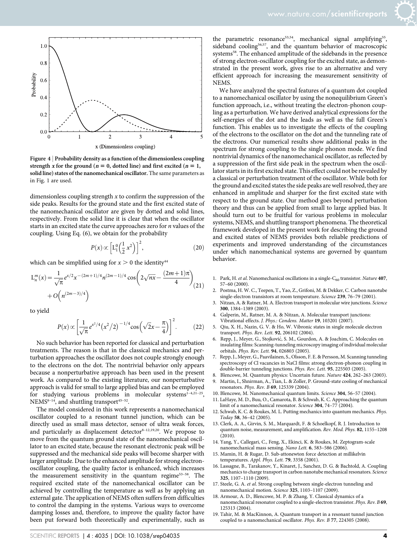

Figure 4 <sup>|</sup> Probability density as a function of the dimensionless coupling strength x for the ground ( $n = 0$ , dotted line) and first excited ( $n = 1$ , solid line) states of the nanomechanical oscillator. The same parameters as in Fig. 1 are used.

dimensionless coupling strength  $x$  to confirm the suppression of the side peaks. Results for the ground state and the first excited state of the nanomechanical oscillator are given by dotted and solid lines, respectively. From the solid line it is clear that when the oscillator starts in an excited state the curve approaches zero for n values of the coupling. Using Eq. (6), we obtain for the probability

$$
P(x) \propto \left[ L_1^0 \left( \frac{1}{2} x^2 \right) \right]^2, \tag{20}
$$

which can be simplified using for  $x > 0$  the identity<sup>44</sup>

$$
L_n^m(x) = \frac{1}{\sqrt{\pi}} e^{x/2} x^{-(2m+1)/4} n^{(2m-1)/4} \cos \left( 2\sqrt{n} x - \frac{(2m+1)\pi}{4} \right) + O\left(n^{(2m-3)/4}\right)
$$
\n
$$
(21)
$$

to yield

$$
P(x) \propto \left[\frac{1}{\sqrt{\pi}} e^{x^2/4} (x^2/2)^{-1/4} \cos\left(\sqrt{2}x - \frac{\pi}{4}\right)\right]^2.
$$
 (22)

No such behavior has been reported for classical and perturbation treatments. The reason is that in the classical mechanics and perturbation approaches the oscillator does not couple strongly enough to the electrons on the dot. The nontrivial behavior only appears because a nonperturbative approach has been used in the present work. As compared to the existing literature, our nonperturbative approach is valid for small to large applied bias and can be employed for studying various problems in molecular systems<sup>1-4,21-25</sup>,  $NEMS<sup>8-14</sup>$ , and shuttling transport<sup>45-52</sup>.

The model considered in this work represents a nanomechanical oscillator coupled to a resonant tunnel junction, which can be directly used as small mass detector, sensor of ultra weak forces, and particularly as displacement detector<sup>8-12,19,20</sup>. We propose to move from the quantum ground state of the nanomechanical oscillator to an excited state, because the resonant electronic peak will be suppressed and the mechanical side peaks will become sharper with larger amplitude. Due to the enhanced amplitude for strong electronoscillator coupling, the quality factor is enhanced, which increases the measurement sensitivity in the quantum regime<sup>53-58</sup>. The required excited state of the nanomechanical oscillator can be achieved by controlling the temperature as well as by applying an external gate. The application of NEMS often suffers from difficulties to control the damping in the systems. Various ways to overcome damping losses and, therefore, to improve the quality factor have been put forward both theoretically and experimentally, such as

the parametric resonance<sup>53,54</sup>, mechanical signal amplifying<sup>55</sup>, sideband cooling<sup>56,57</sup>, and the quantum behavior of macroscopic systems<sup>58</sup>. The enhanced amplitude of the sidebands in the presence of strong electron-oscillator coupling for the excited state, as demonstrated in the present work, gives rise to an alternative and very efficient approach for increasing the measurement sensitivity of NEMS.

We have analyzed the spectral features of a quantum dot coupled to a nanomechanical oscillator by using the nonequilibrium Green's function approach, i.e., without treating the electron-phonon coupling as a perturbation. We have derived analytical expressions for the self-energies of the dot and the leads as well as the full Green's function. This enables us to investigate the effects of the coupling of the electrons to the oscillator on the dot and the tunneling rate of the electrons. Our numerical results show additional peaks in the spectrum for strong coupling to the single phonon mode. We find nontrivial dynamics of the nanomechanical oscillator, as reflected by a suppression of the first side peak in the spectrum when the oscillator starts in its first excited state. This effect could not be revealed by a classical or perturbation treatment of the oscillator. While both for the ground and excited states the side peaks are well resolved, they are enhanced in amplitude and sharper for the first excited state with respect to the ground state. Our method goes beyond perturbation theory and thus can be applied from small to large applied bias. It should turn out to be fruitful for various problems in molecular systems, NEMS, and shuttling transport phenomena. The theoretical framework developed in the present work for describing the ground and excited states of NEMS provides both reliable predictions of experiments and improved understanding of the circumstances under which nanomechanical systems are governed by quantum behavior.

- 1. Park, H. et al. Nanomechanical oscillations in a single- $C_{60}$  transistor. Nature 407, 57–60 (2000).
- 2. Postma, H. W. C., Teepen, T., Yao, Z., Grifoni, M. & Dekker, C. Carbon nanotube single-electron transistors at room temperature. Science 239, 76-79 (2001).
- 3. Nitzan, A. & Ratner, M. A. Electron transport in molecular wire junctions. Science 300, 1384–1389 (2003).
- 4. Galperin, M., Ratner, M. A. & Nitzan, A. Molecular transport junctions: Vibrational effects. J. Phys.: Condens. Matter 19, 103201 (2007).
- 5. Qiu, X. H., Nazin, G. V. & Ho, W. Vibronic states in single molecule electron transport. Phys. Rev. Lett. 92, 206102 (2004).
- Repp, J., Meyer, G., Stojković, S. M., Gourdon, A. & Joachim, C. Molecules on insulating films: Scanning-tunneling microscopy imaging of individual molecular orbitals. Phys. Rev. Lett. 94, 026803 (2005).
- 7. Repp, J., Meyer, G., Paavilainen, S., Olsson, F. E. & Persson, M. Scanning tunneling spectroscopy of Cl vacancies in NaCl films: atrong electron-phonon coupling in double-barrier tunneling junctions. Phys. Rev. Lett. 95, 225503 (2005).
- 8. Blencowe, M. Quantum physics: Uncertain future. Nature 424, 262–263 (2003). 9. Martin, I., Shnirman, A., Tian, L. & Zoller, P. Ground-state cooling of mechanical
- resonators. Phys. Rev. B 69, 125339 (2004).
- 10. Blencowe, M. Nanomechanical quantum limits. Science 304, 56–57 (2004).
- 11. LaHaye, M. D., Buu, O., Camarota, B. & Schwab, K. C. Approaching the quantum limit of a nanomechanical resonator. Science 304, 74–77 (2004).
- 12. Schwab, K. C. & Roukes, M. L. Putting mechanics into quantum mechanics. Phys. Today 58, 36–42 (2005).
- 13. Clerk, A. A., Girvin, S. M., Marquardt, F. & Schoelkopf, R. J. Introduction to quantum noise, measurement, and amplification. Rev. Mod. Phys. 82, 1155–1208 (2010).
- 14. Yang, Y., Callegari, C., Feng, X., Ekinci, K. & Roukes, M. Zeptogram-scale nanomechanical mass sensing. Nano Lett. 6, 583–586 (2006).
- 15. Mamin, H. & Rugar, D. Sub-attonewton force detection at millikelvin temperatures. Appl. Phys. Lett. 79, 3358 (2001).
- 16. Lassagne, B., Tarakanov, Y., Kinaret, J., Sanchez, D. G. & Bachtold, A. Coupling mechanics to charge transport in carbon nanotube mechanical resonators. Science 325, 1107–1110 (2009).
- 17. Steele, G. A. et al. Strong coupling between single-electron tunneling and nanomechanical motion. Science 325, 1103–1107 (2009).
- 18. Armour, A. D., Blencowe, M. P. & Zhang, Y. Classical dynamics of a nanomechanical resonator coupled to a single-electron transistor. Phys. Rev. B 69, 125313 (2004).
- 19. Tahir, M. & MacKinnon, A. Quantum transport in a resonant tunnel junction coupled to a nanomechanical oscillator. Phys. Rev. B 77, 224305 (2008).